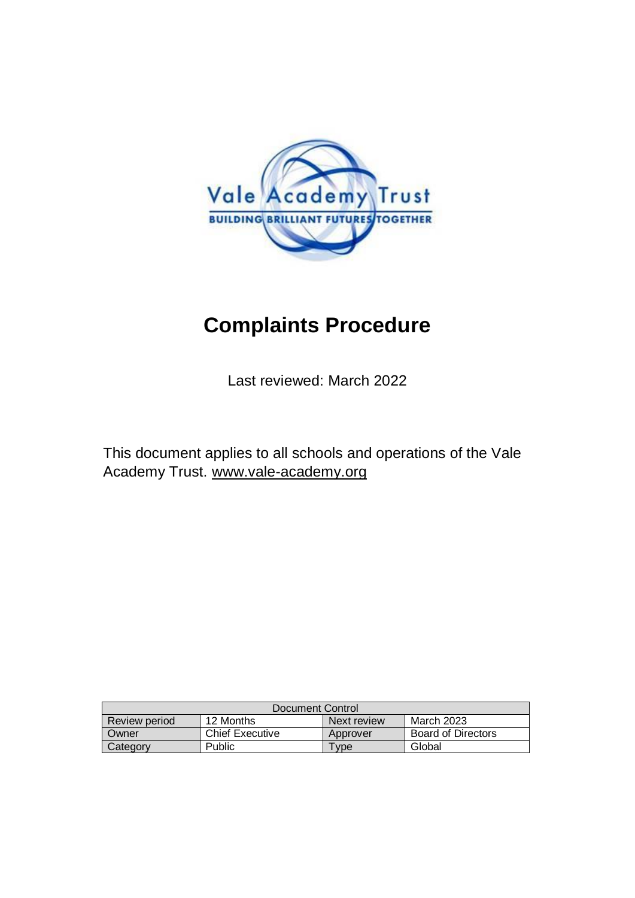

# **Complaints Procedure**

Last reviewed: March 2022

This document applies to all schools and operations of the Vale Academy Trust. [www.vale-academy.org](http://www.vale-academy.org/)

| Document Control |                        |             |                           |  |
|------------------|------------------------|-------------|---------------------------|--|
| Review period    | 12 Months              | Next review | March 2023                |  |
| Owner            | <b>Chief Executive</b> | Approver    | <b>Board of Directors</b> |  |
| Category         | <b>Public</b>          | Type.       | Global                    |  |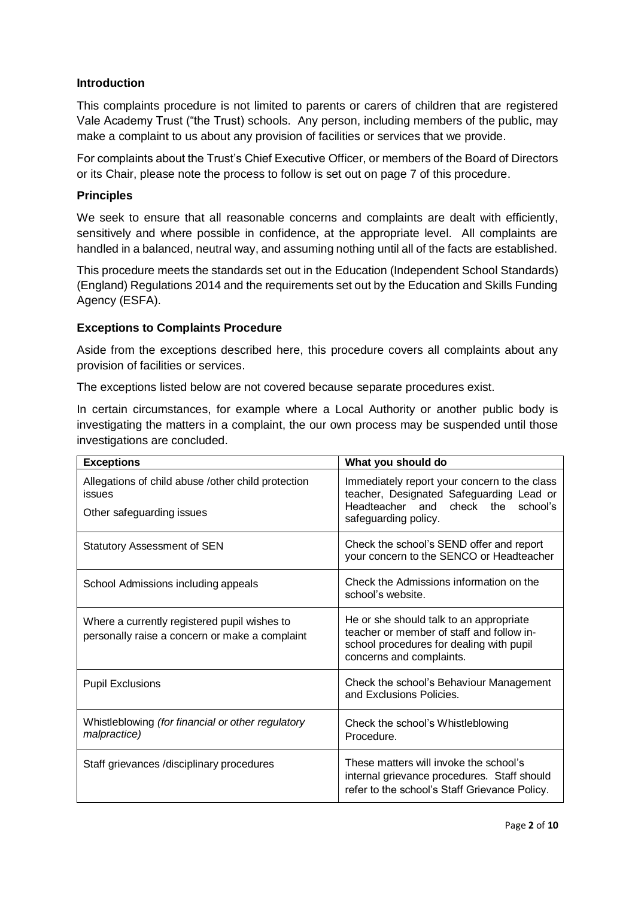#### **Introduction**

This complaints procedure is not limited to parents or carers of children that are registered Vale Academy Trust ("the Trust) schools. Any person, including members of the public, may make a complaint to us about any provision of facilities or services that we provide.

For complaints about the Trust's Chief Executive Officer, or members of the Board of Directors or its Chair, please note the process to follow is set out on page 7 of this procedure.

#### **Principles**

We seek to ensure that all reasonable concerns and complaints are dealt with efficiently. sensitively and where possible in confidence, at the appropriate level. All complaints are handled in a balanced, neutral way, and assuming nothing until all of the facts are established.

This procedure meets the standards set out in the Education (Independent School Standards) (England) Regulations 2014 and the requirements set out by the Education and Skills Funding Agency (ESFA).

#### **Exceptions to Complaints Procedure**

Aside from the exceptions described here, this procedure covers all complaints about any provision of facilities or services.

The exceptions listed below are not covered because separate procedures exist.

In certain circumstances, for example where a Local Authority or another public body is investigating the matters in a complaint, the our own process may be suspended until those investigations are concluded.

| <b>Exceptions</b>                                                                              | What you should do                                                                                                                                           |  |
|------------------------------------------------------------------------------------------------|--------------------------------------------------------------------------------------------------------------------------------------------------------------|--|
| Allegations of child abuse /other child protection<br>issues<br>Other safeguarding issues      | Immediately report your concern to the class<br>teacher, Designated Safeguarding Lead or<br>Headteacher and<br>check the school's<br>safeguarding policy.    |  |
| <b>Statutory Assessment of SEN</b>                                                             | Check the school's SEND offer and report<br>your concern to the SENCO or Headteacher                                                                         |  |
| School Admissions including appeals                                                            | Check the Admissions information on the<br>school's website.                                                                                                 |  |
| Where a currently registered pupil wishes to<br>personally raise a concern or make a complaint | He or she should talk to an appropriate<br>teacher or member of staff and follow in-<br>school procedures for dealing with pupil<br>concerns and complaints. |  |
| <b>Pupil Exclusions</b>                                                                        | Check the school's Behaviour Management<br>and Exclusions Policies.                                                                                          |  |
| Whistleblowing (for financial or other regulatory<br>malpractice)                              | Check the school's Whistleblowing<br>Procedure.                                                                                                              |  |
| Staff grievances /disciplinary procedures                                                      | These matters will invoke the school's<br>internal grievance procedures. Staff should<br>refer to the school's Staff Grievance Policy.                       |  |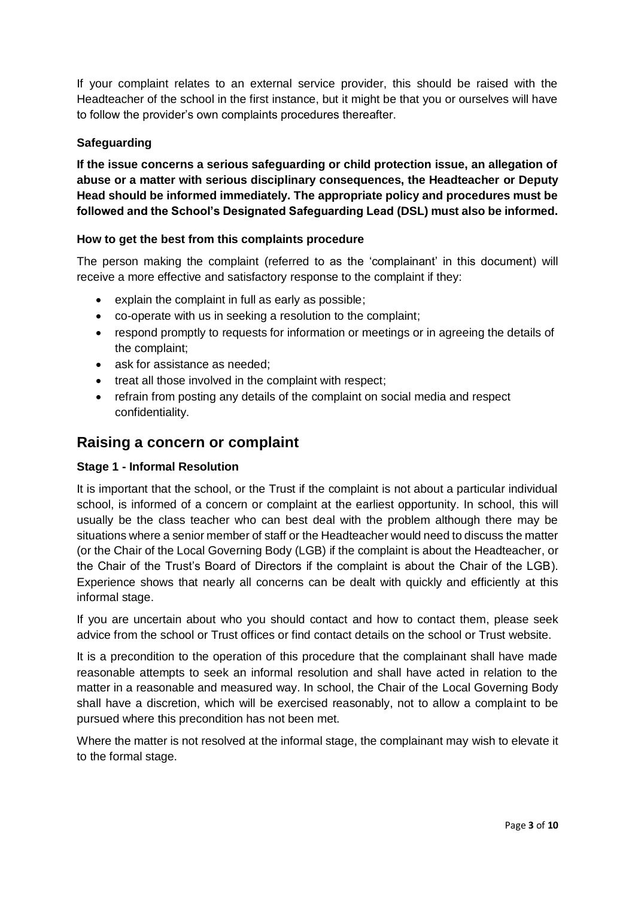If your complaint relates to an external service provider, this should be raised with the Headteacher of the school in the first instance, but it might be that you or ourselves will have to follow the provider's own complaints procedures thereafter.

#### **Safeguarding**

**If the issue concerns a serious safeguarding or child protection issue, an allegation of abuse or a matter with serious disciplinary consequences, the Headteacher or Deputy Head should be informed immediately. The appropriate policy and procedures must be followed and the School's Designated Safeguarding Lead (DSL) must also be informed.**

#### **How to get the best from this complaints procedure**

The person making the complaint (referred to as the 'complainant' in this document) will receive a more effective and satisfactory response to the complaint if they:

- explain the complaint in full as early as possible;
- co-operate with us in seeking a resolution to the complaint;
- respond promptly to requests for information or meetings or in agreeing the details of the complaint;
- ask for assistance as needed;
- treat all those involved in the complaint with respect;
- refrain from posting any details of the complaint on social media and respect confidentiality.

### **Raising a concern or complaint**

#### **Stage 1 - Informal Resolution**

It is important that the school, or the Trust if the complaint is not about a particular individual school, is informed of a concern or complaint at the earliest opportunity. In school, this will usually be the class teacher who can best deal with the problem although there may be situations where a senior member of staff or the Headteacher would need to discuss the matter (or the Chair of the Local Governing Body (LGB) if the complaint is about the Headteacher, or the Chair of the Trust's Board of Directors if the complaint is about the Chair of the LGB). Experience shows that nearly all concerns can be dealt with quickly and efficiently at this informal stage.

If you are uncertain about who you should contact and how to contact them, please seek advice from the school or Trust offices or find contact details on the school or Trust website.

It is a precondition to the operation of this procedure that the complainant shall have made reasonable attempts to seek an informal resolution and shall have acted in relation to the matter in a reasonable and measured way. In school, the Chair of the Local Governing Body shall have a discretion, which will be exercised reasonably, not to allow a complaint to be pursued where this precondition has not been met.

Where the matter is not resolved at the informal stage, the complainant may wish to elevate it to the formal stage.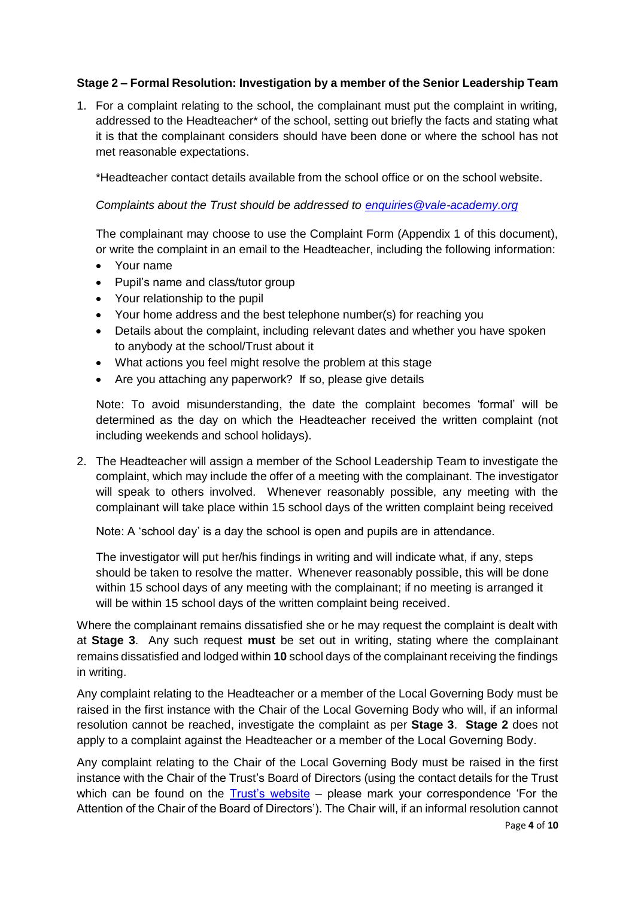#### **Stage 2 – Formal Resolution: Investigation by a member of the Senior Leadership Team**

1. For a complaint relating to the school, the complainant must put the complaint in writing, addressed to the Headteacher\* of the school, setting out briefly the facts and stating what it is that the complainant considers should have been done or where the school has not met reasonable expectations.

\*Headteacher contact details available from the school office or on the school website.

#### *Complaints about the Trust should be addressed to [enquiries@vale-academy.org](mailto:enquiries@vale-academy.org)*

The complainant may choose to use the Complaint Form (Appendix 1 of this document), or write the complaint in an email to the Headteacher, including the following information:

- Your name
- Pupil's name and class/tutor group
- Your relationship to the pupil
- Your home address and the best telephone number(s) for reaching you
- Details about the complaint, including relevant dates and whether you have spoken to anybody at the school/Trust about it
- What actions you feel might resolve the problem at this stage
- Are you attaching any paperwork? If so, please give details

Note: To avoid misunderstanding, the date the complaint becomes 'formal' will be determined as the day on which the Headteacher received the written complaint (not including weekends and school holidays).

2. The Headteacher will assign a member of the School Leadership Team to investigate the complaint, which may include the offer of a meeting with the complainant. The investigator will speak to others involved. Whenever reasonably possible, any meeting with the complainant will take place within 15 school days of the written complaint being received

Note: A 'school day' is a day the school is open and pupils are in attendance.

The investigator will put her/his findings in writing and will indicate what, if any, steps should be taken to resolve the matter. Whenever reasonably possible, this will be done within 15 school days of any meeting with the complainant; if no meeting is arranged it will be within 15 school days of the written complaint being received.

Where the complainant remains dissatisfied she or he may request the complaint is dealt with at **Stage 3**. Any such request **must** be set out in writing, stating where the complainant remains dissatisfied and lodged within **10** school days of the complainant receiving the findings in writing.

Any complaint relating to the Headteacher or a member of the Local Governing Body must be raised in the first instance with the Chair of the Local Governing Body who will, if an informal resolution cannot be reached, investigate the complaint as per **Stage 3**. **Stage 2** does not apply to a complaint against the Headteacher or a member of the Local Governing Body.

Any complaint relating to the Chair of the Local Governing Body must be raised in the first instance with the Chair of the Trust's Board of Directors (using the contact details for the Trust which can be found on the [Trust's website](http://www.vale-academy.org/) – please mark your correspondence 'For the Attention of the Chair of the Board of Directors'). The Chair will, if an informal resolution cannot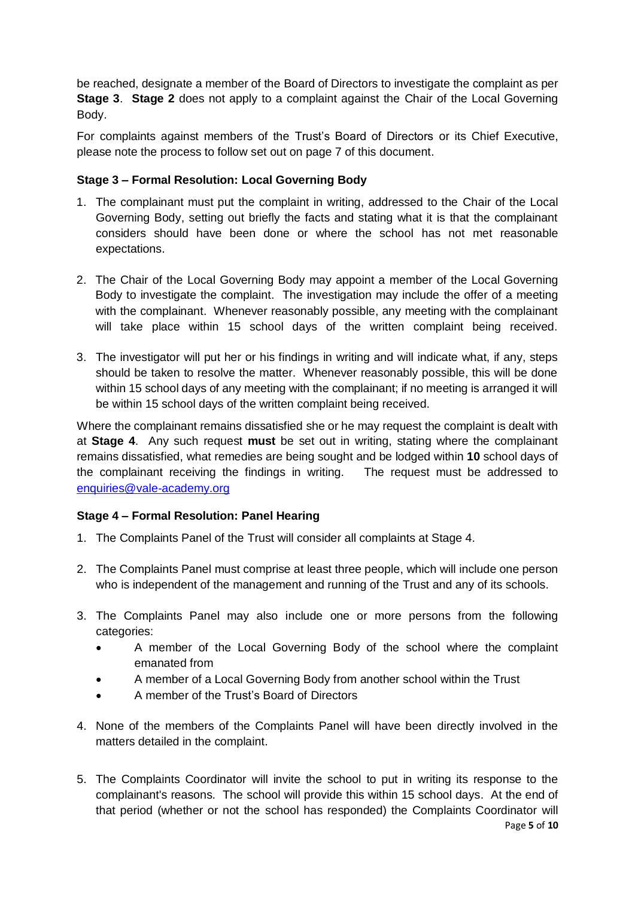be reached, designate a member of the Board of Directors to investigate the complaint as per **Stage 3**. **Stage 2** does not apply to a complaint against the Chair of the Local Governing Body.

For complaints against members of the Trust's Board of Directors or its Chief Executive, please note the process to follow set out on page 7 of this document.

#### **Stage 3 – Formal Resolution: Local Governing Body**

- 1. The complainant must put the complaint in writing, addressed to the Chair of the Local Governing Body, setting out briefly the facts and stating what it is that the complainant considers should have been done or where the school has not met reasonable expectations.
- 2. The Chair of the Local Governing Body may appoint a member of the Local Governing Body to investigate the complaint. The investigation may include the offer of a meeting with the complainant. Whenever reasonably possible, any meeting with the complainant will take place within 15 school days of the written complaint being received.
- 3. The investigator will put her or his findings in writing and will indicate what, if any, steps should be taken to resolve the matter. Whenever reasonably possible, this will be done within 15 school days of any meeting with the complainant; if no meeting is arranged it will be within 15 school days of the written complaint being received.

Where the complainant remains dissatisfied she or he may request the complaint is dealt with at **Stage 4**. Any such request **must** be set out in writing, stating where the complainant remains dissatisfied, what remedies are being sought and be lodged within **10** school days of the complainant receiving the findings in writing. The request must be addressed to [enquiries@vale-academy.org](mailto:enquiries@vale-academy.org)

#### **Stage 4 – Formal Resolution: Panel Hearing**

- 1. The Complaints Panel of the Trust will consider all complaints at Stage 4.
- 2. The Complaints Panel must comprise at least three people, which will include one person who is independent of the management and running of the Trust and any of its schools.
- 3. The Complaints Panel may also include one or more persons from the following categories:
	- A member of the Local Governing Body of the school where the complaint emanated from
	- A member of a Local Governing Body from another school within the Trust
	- A member of the Trust's Board of Directors
- 4. None of the members of the Complaints Panel will have been directly involved in the matters detailed in the complaint.
- 5. The Complaints Coordinator will invite the school to put in writing its response to the complainant's reasons. The school will provide this within 15 school days. At the end of that period (whether or not the school has responded) the Complaints Coordinator will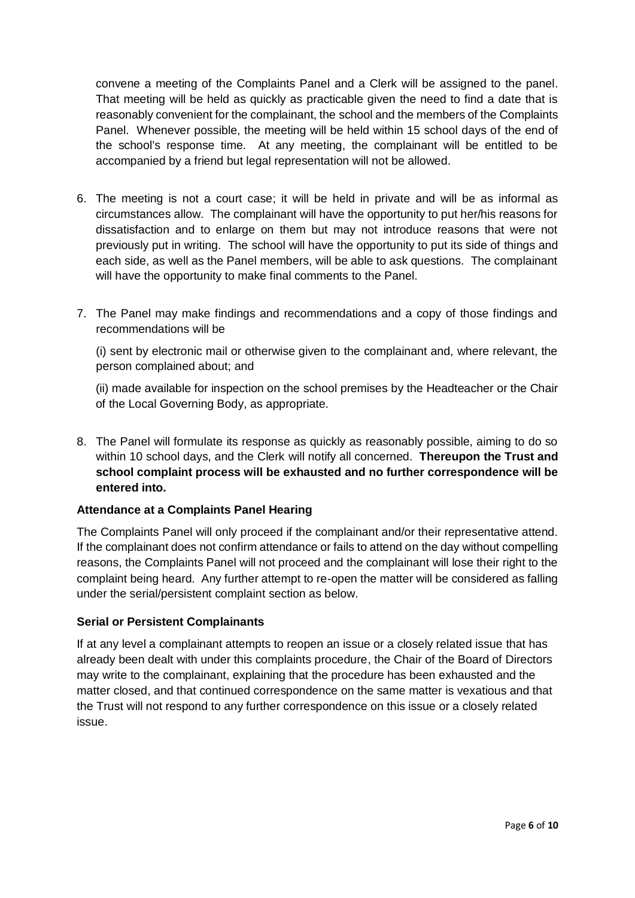convene a meeting of the Complaints Panel and a Clerk will be assigned to the panel. That meeting will be held as quickly as practicable given the need to find a date that is reasonably convenient for the complainant, the school and the members of the Complaints Panel. Whenever possible, the meeting will be held within 15 school days of the end of the school's response time. At any meeting, the complainant will be entitled to be accompanied by a friend but legal representation will not be allowed.

- 6. The meeting is not a court case; it will be held in private and will be as informal as circumstances allow. The complainant will have the opportunity to put her/his reasons for dissatisfaction and to enlarge on them but may not introduce reasons that were not previously put in writing. The school will have the opportunity to put its side of things and each side, as well as the Panel members, will be able to ask questions. The complainant will have the opportunity to make final comments to the Panel.
- 7. The Panel may make findings and recommendations and a copy of those findings and recommendations will be

(i) sent by electronic mail or otherwise given to the complainant and, where relevant, the person complained about; and

(ii) made available for inspection on the school premises by the Headteacher or the Chair of the Local Governing Body, as appropriate.

8. The Panel will formulate its response as quickly as reasonably possible, aiming to do so within 10 school days, and the Clerk will notify all concerned. **Thereupon the Trust and school complaint process will be exhausted and no further correspondence will be entered into.**

#### **Attendance at a Complaints Panel Hearing**

The Complaints Panel will only proceed if the complainant and/or their representative attend. If the complainant does not confirm attendance or fails to attend on the day without compelling reasons, the Complaints Panel will not proceed and the complainant will lose their right to the complaint being heard. Any further attempt to re-open the matter will be considered as falling under the serial/persistent complaint section as below.

#### **Serial or Persistent Complainants**

If at any level a complainant attempts to reopen an issue or a closely related issue that has already been dealt with under this complaints procedure, the Chair of the Board of Directors may write to the complainant, explaining that the procedure has been exhausted and the matter closed, and that continued correspondence on the same matter is vexatious and that the Trust will not respond to any further correspondence on this issue or a closely related issue.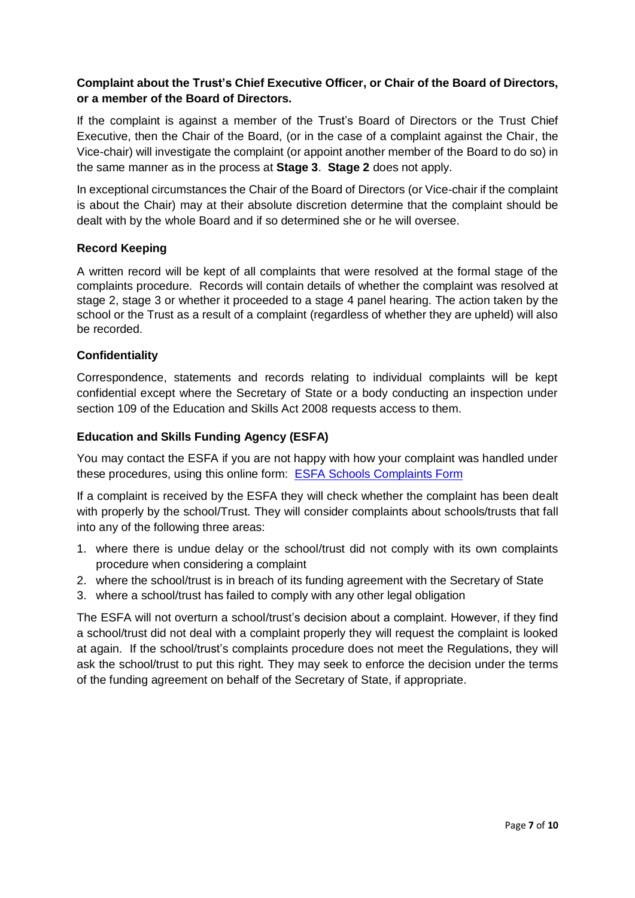#### **Complaint about the Trust's Chief Executive Officer, or Chair of the Board of Directors, or a member of the Board of Directors.**

If the complaint is against a member of the Trust's Board of Directors or the Trust Chief Executive, then the Chair of the Board, (or in the case of a complaint against the Chair, the Vice-chair) will investigate the complaint (or appoint another member of the Board to do so) in the same manner as in the process at **Stage 3**. **Stage 2** does not apply.

In exceptional circumstances the Chair of the Board of Directors (or Vice-chair if the complaint is about the Chair) may at their absolute discretion determine that the complaint should be dealt with by the whole Board and if so determined she or he will oversee.

#### **Record Keeping**

A written record will be kept of all complaints that were resolved at the formal stage of the complaints procedure. Records will contain details of whether the complaint was resolved at stage 2, stage 3 or whether it proceeded to a stage 4 panel hearing. The action taken by the school or the Trust as a result of a complaint (regardless of whether they are upheld) will also be recorded.

#### **Confidentiality**

Correspondence, statements and records relating to individual complaints will be kept confidential except where the Secretary of State or a body conducting an inspection under section 109 of the Education and Skills Act 2008 requests access to them.

#### **Education and Skills Funding Agency (ESFA)**

You may contact the ESFA if you are not happy with how your complaint was handled under these procedures, using this online form: [ESFA Schools Complaints Form](https://form.education.gov.uk/fillform.php?self=1&form_id=cCCNJ1xSfBE&type=form&ShowMsg=1&form_name=Contact+the+Department+for+Education&noRegister=false&ret=%2Fmodule%2Fservices&noLoginPrompt=1)

If a complaint is received by the ESFA they will check whether the complaint has been dealt with properly by the school/Trust. They will consider complaints about schools/trusts that fall into any of the following three areas:

- 1. where there is undue delay or the school/trust did not comply with its own complaints procedure when considering a complaint
- 2. where the school/trust is in breach of its funding agreement with the Secretary of State
- 3. where a school/trust has failed to comply with any other legal obligation

The ESFA will not overturn a school/trust's decision about a complaint. However, if they find a school/trust did not deal with a complaint properly they will request the complaint is looked at again. If the school/trust's complaints procedure does not meet the Regulations, they will ask the school/trust to put this right. They may seek to enforce the decision under the terms of the funding agreement on behalf of the Secretary of State, if appropriate.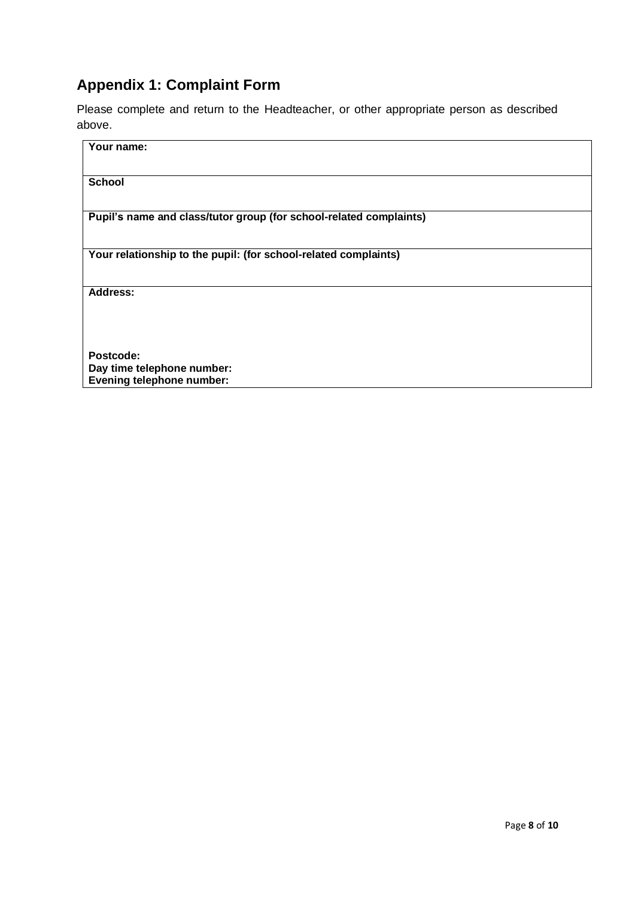## **Appendix 1: Complaint Form**

Please complete and return to the Headteacher, or other appropriate person as described above.

| Your name:                                                         |
|--------------------------------------------------------------------|
| <b>School</b>                                                      |
| Pupil's name and class/tutor group (for school-related complaints) |
| Your relationship to the pupil: (for school-related complaints)    |
| <b>Address:</b>                                                    |
| Postcode:                                                          |
| Day time telephone number:<br>Evening telephone number:            |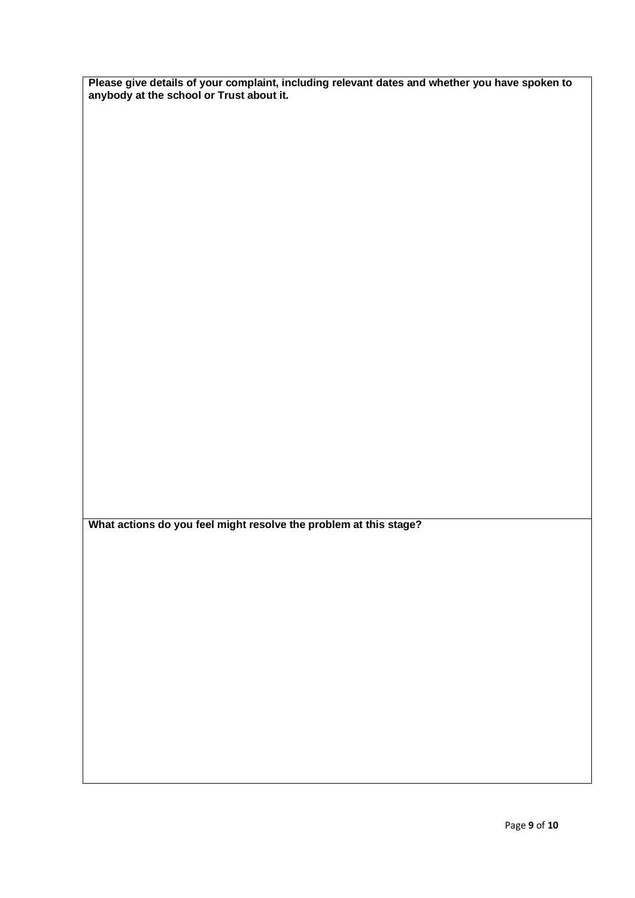**Please give details of your complaint, including relevant dates and whether you have spoken to anybody at the school or Trust about it.**

**What actions do you feel might resolve the problem at this stage?**